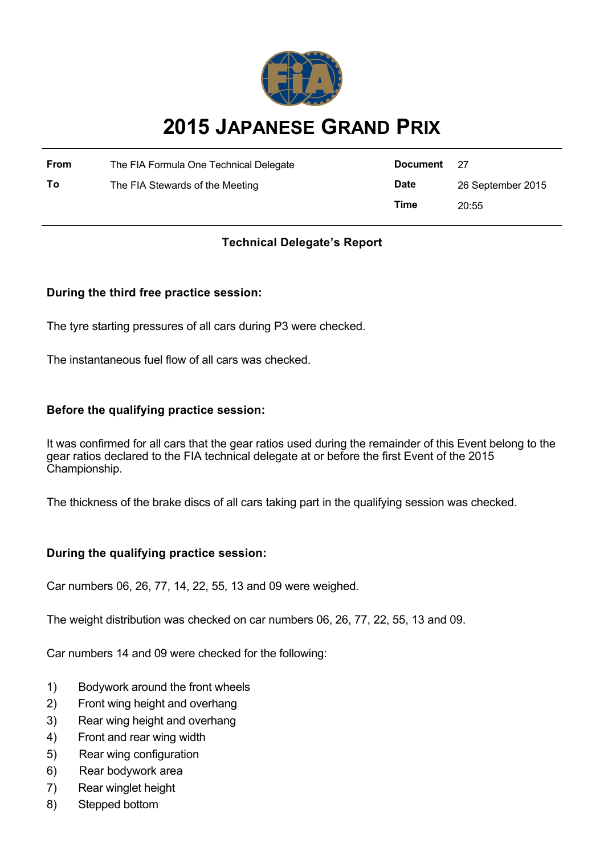

# **2015 JAPANESE GRAND PRIX**

| <b>From</b> | The FIA Formula One Technical Delegate | Document    | - 27              |
|-------------|----------------------------------------|-------------|-------------------|
| Τo          | The FIA Stewards of the Meeting        | <b>Date</b> | 26 September 2015 |
|             |                                        | Time        | 20:55             |

## **Technical Delegate's Report**

## **During the third free practice session:**

The tyre starting pressures of all cars during P3 were checked.

The instantaneous fuel flow of all cars was checked.

## **Before the qualifying practice session:**

It was confirmed for all cars that the gear ratios used during the remainder of this Event belong to the gear ratios declared to the FIA technical delegate at or before the first Event of the 2015 Championship.

The thickness of the brake discs of all cars taking part in the qualifying session was checked.

## **During the qualifying practice session:**

Car numbers 06, 26, 77, 14, 22, 55, 13 and 09 were weighed.

The weight distribution was checked on car numbers 06, 26, 77, 22, 55, 13 and 09.

Car numbers 14 and 09 were checked for the following:

- 1) Bodywork around the front wheels
- 2) Front wing height and overhang
- 3) Rear wing height and overhang
- 4) Front and rear wing width
- 5) Rear wing configuration
- 6) Rear bodywork area
- 7) Rear winglet height
- 8) Stepped bottom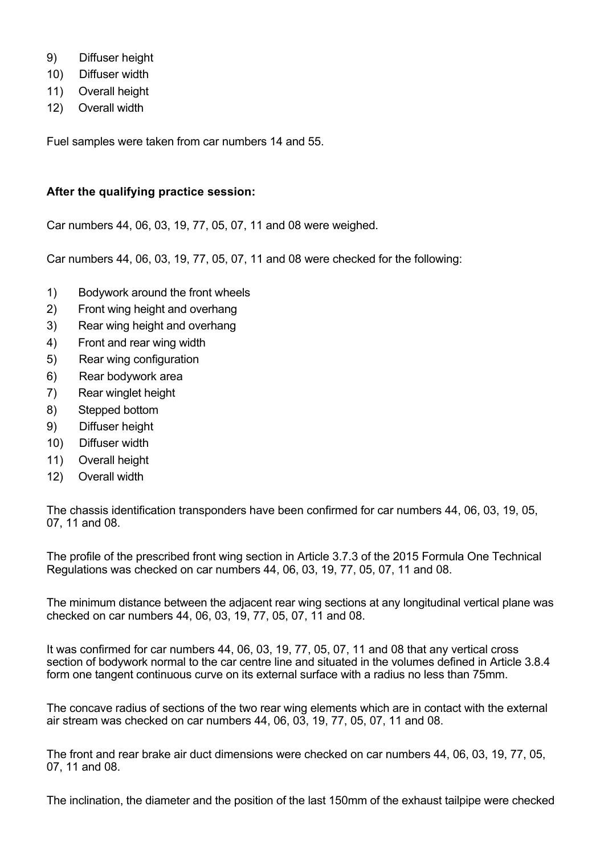- 9) Diffuser height
- 10) Diffuser width
- 11) Overall height
- 12) Overall width

Fuel samples were taken from car numbers 14 and 55.

#### **After the qualifying practice session:**

Car numbers 44, 06, 03, 19, 77, 05, 07, 11 and 08 were weighed.

Car numbers 44, 06, 03, 19, 77, 05, 07, 11 and 08 were checked for the following:

- 1) Bodywork around the front wheels
- 2) Front wing height and overhang
- 3) Rear wing height and overhang
- 4) Front and rear wing width
- 5) Rear wing configuration
- 6) Rear bodywork area
- 7) Rear winglet height
- 8) Stepped bottom
- 9) Diffuser height
- 10) Diffuser width
- 11) Overall height
- 12) Overall width

The chassis identification transponders have been confirmed for car numbers 44, 06, 03, 19, 05, 07, 11 and 08.

The profile of the prescribed front wing section in Article 3.7.3 of the 2015 Formula One Technical Regulations was checked on car numbers 44, 06, 03, 19, 77, 05, 07, 11 and 08.

The minimum distance between the adjacent rear wing sections at any longitudinal vertical plane was checked on car numbers 44, 06, 03, 19, 77, 05, 07, 11 and 08.

It was confirmed for car numbers 44, 06, 03, 19, 77, 05, 07, 11 and 08 that any vertical cross section of bodywork normal to the car centre line and situated in the volumes defined in Article 3.8.4 form one tangent continuous curve on its external surface with a radius no less than 75mm.

The concave radius of sections of the two rear wing elements which are in contact with the external air stream was checked on car numbers 44, 06, 03, 19, 77, 05, 07, 11 and 08.

The front and rear brake air duct dimensions were checked on car numbers 44, 06, 03, 19, 77, 05, 07, 11 and 08.

The inclination, the diameter and the position of the last 150mm of the exhaust tailpipe were checked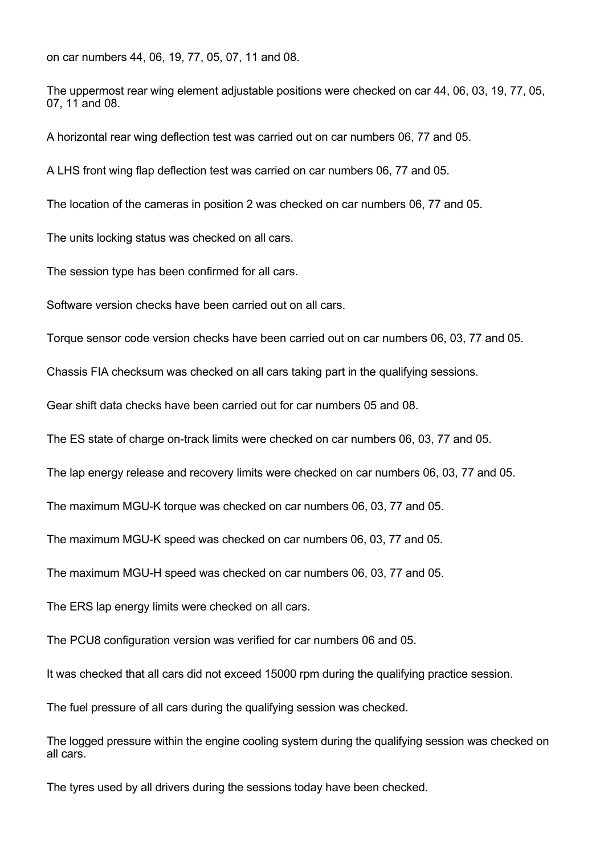on car numbers 44, 06, 19, 77, 05, 07, 11 and 08.

The uppermost rear wing element adjustable positions were checked on car 44, 06, 03, 19, 77, 05, 07, 11 and 08.

A horizontal rear wing deflection test was carried out on car numbers 06, 77 and 05.

A LHS front wing flap deflection test was carried on car numbers 06, 77 and 05.

The location of the cameras in position 2 was checked on car numbers 06, 77 and 05.

The units locking status was checked on all cars.

The session type has been confirmed for all cars.

Software version checks have been carried out on all cars.

Torque sensor code version checks have been carried out on car numbers 06, 03, 77 and 05.

Chassis FIA checksum was checked on all cars taking part in the qualifying sessions.

Gear shift data checks have been carried out for car numbers 05 and 08.

The ES state of charge on-track limits were checked on car numbers 06, 03, 77 and 05.

The lap energy release and recovery limits were checked on car numbers 06, 03, 77 and 05.

The maximum MGU-K torque was checked on car numbers 06, 03, 77 and 05.

The maximum MGU-K speed was checked on car numbers 06, 03, 77 and 05.

The maximum MGU-H speed was checked on car numbers 06, 03, 77 and 05.

The ERS lap energy limits were checked on all cars.

The PCU8 configuration version was verified for car numbers 06 and 05.

It was checked that all cars did not exceed 15000 rpm during the qualifying practice session.

The fuel pressure of all cars during the qualifying session was checked.

The logged pressure within the engine cooling system during the qualifying session was checked on all cars.

The tyres used by all drivers during the sessions today have been checked.